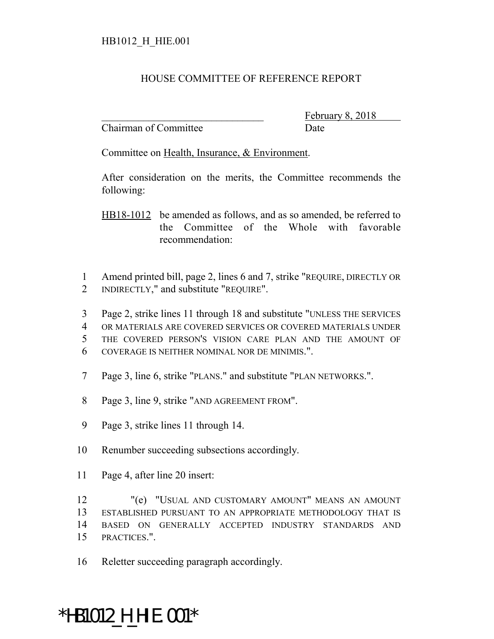## HOUSE COMMITTEE OF REFERENCE REPORT

Chairman of Committee Date

February 8,

Committee on Health, Insurance, & Environment.

After consideration on the merits, the Committee recommends the following:

HB18-1012 be amended as follows, and as so amended, be referred to the Committee of the Whole with favorable recommendation:

 Amend printed bill, page 2, lines 6 and 7, strike "REQUIRE, DIRECTLY OR INDIRECTLY," and substitute "REQUIRE".

 Page 2, strike lines 11 through 18 and substitute "UNLESS THE SERVICES OR MATERIALS ARE COVERED SERVICES OR COVERED MATERIALS UNDER THE COVERED PERSON'S VISION CARE PLAN AND THE AMOUNT OF COVERAGE IS NEITHER NOMINAL NOR DE MINIMIS.".

Page 3, line 6, strike "PLANS." and substitute "PLAN NETWORKS.".

Page 3, line 9, strike "AND AGREEMENT FROM".

Page 3, strike lines 11 through 14.

Renumber succeeding subsections accordingly.

Page 4, after line 20 insert:

 "(e) "USUAL AND CUSTOMARY AMOUNT" MEANS AN AMOUNT ESTABLISHED PURSUANT TO AN APPROPRIATE METHODOLOGY THAT IS BASED ON GENERALLY ACCEPTED INDUSTRY STANDARDS AND PRACTICES.".

Reletter succeeding paragraph accordingly.

## \*HB1012\_H\_HIE.001\*